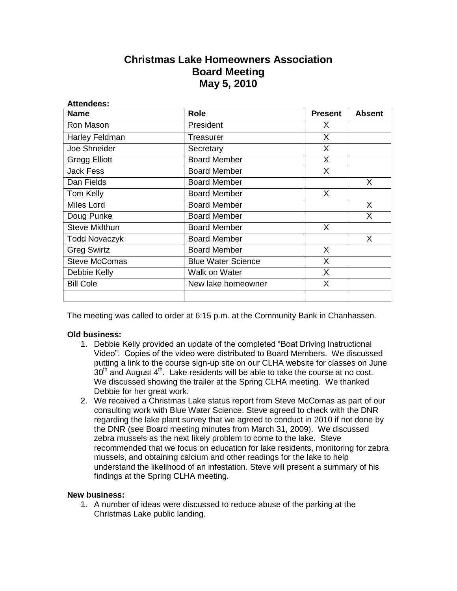## **Christmas Lake Homeowners Association Board Meeting May 5, 2010**

| <b>Attendees:</b>    |                           |                |               |
|----------------------|---------------------------|----------------|---------------|
| <b>Name</b>          | <b>Role</b>               | <b>Present</b> | <b>Absent</b> |
| Ron Mason            | President                 | X.             |               |
| Harley Feldman       | Treasurer                 | X              |               |
| Joe Shneider         | Secretary                 | X.             |               |
| <b>Gregg Elliott</b> | <b>Board Member</b>       | X              |               |
| <b>Jack Fess</b>     | <b>Board Member</b>       | X              |               |
| Dan Fields           | <b>Board Member</b>       |                | X             |
| Tom Kelly            | <b>Board Member</b>       | X              |               |
| Miles Lord           | <b>Board Member</b>       |                | $\mathsf{X}$  |
| Doug Punke           | <b>Board Member</b>       |                | X             |
| <b>Steve Midthun</b> | <b>Board Member</b>       | X              |               |
| <b>Todd Novaczyk</b> | <b>Board Member</b>       |                | X             |
| <b>Greg Swirtz</b>   | <b>Board Member</b>       | X              |               |
| <b>Steve McComas</b> | <b>Blue Water Science</b> | X              |               |
| Debbie Kelly         | Walk on Water             | X              |               |
| <b>Bill Cole</b>     | New lake homeowner        | X              |               |
|                      |                           |                |               |

The meeting was called to order at 6:15 p.m. at the Community Bank in Chanhassen.

## **Old business:**

- 1. Debbie Kelly provided an update of the completed "Boat Driving Instructional Video". Copies of the video were distributed to Board Members. We discussed putting a link to the course sign-up site on our CLHA website for classes on June  $30<sup>th</sup>$  and August  $4<sup>th</sup>$ . Lake residents will be able to take the course at no cost. We discussed showing the trailer at the Spring CLHA meeting. We thanked Debbie for her great work.
- 2. We received a Christmas Lake status report from Steve McComas as part of our consulting work with Blue Water Science. Steve agreed to check with the DNR regarding the lake plant survey that we agreed to conduct in 2010 if not done by the DNR (see Board meeting minutes from March 31, 2009). We discussed zebra mussels as the next likely problem to come to the lake. Steve recommended that we focus on education for lake residents, monitoring for zebra mussels, and obtaining calcium and other readings for the lake to help understand the likelihood of an infestation. Steve will present a summary of his findings at the Spring CLHA meeting.

## **New business:**

1. A number of ideas were discussed to reduce abuse of the parking at the Christmas Lake public landing.